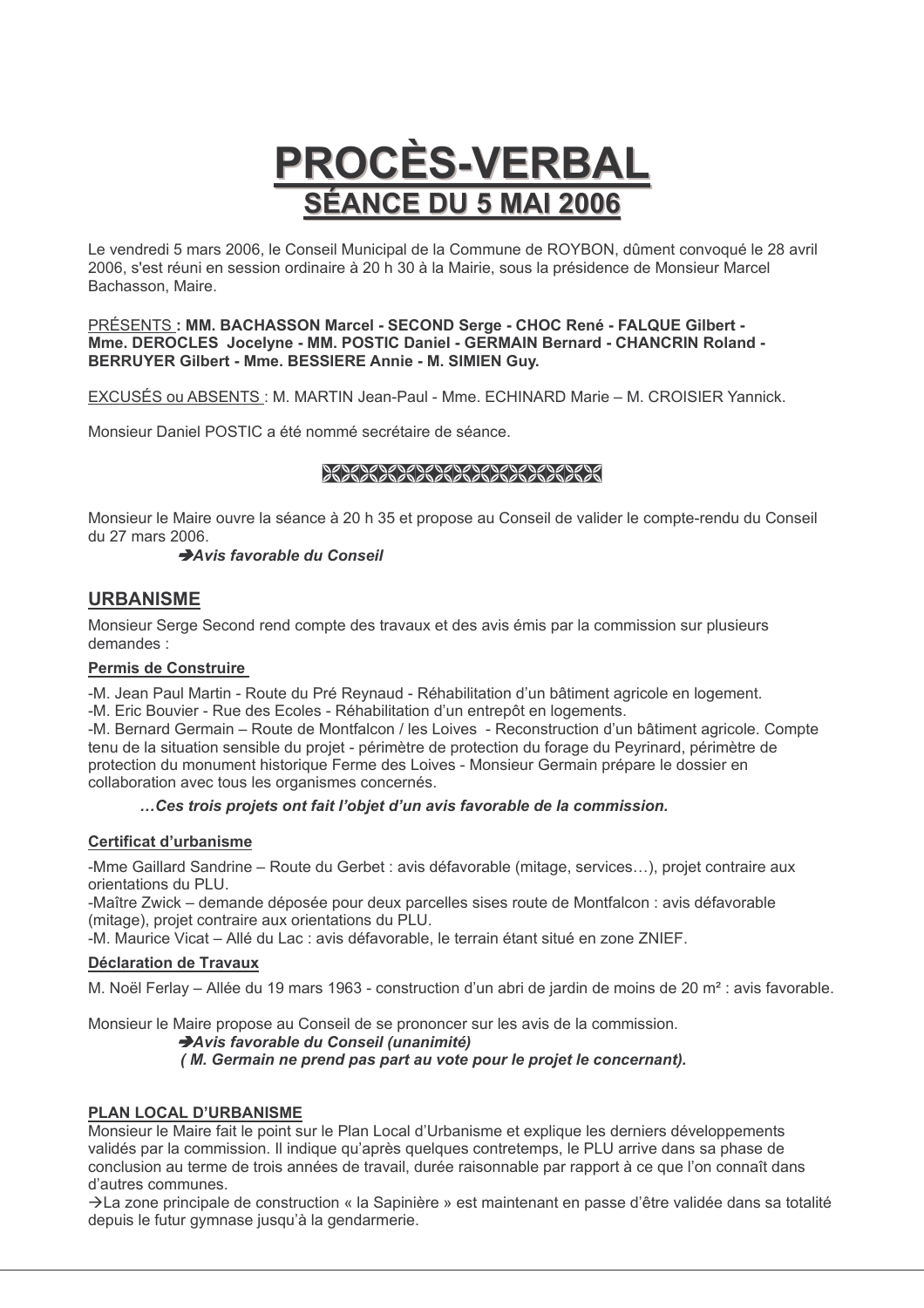# **PROCÈS-VERBAL SÉANCE DU 5 MAI 2006**

Le vendredi 5 mars 2006, le Conseil Municipal de la Commune de ROYBON, dûment convoqué le 28 avril 2006, s'est réuni en session ordinaire à 20 h 30 à la Mairie, sous la présidence de Monsieur Marcel Bachasson, Maire.

PRÉSENTS : MM. BACHASSON Marcel - SECOND Serge - CHOC René - FALQUE Gilbert -Mme. DEROCLES Jocelyne - MM. POSTIC Daniel - GERMAIN Bernard - CHANCRIN Roland -BERRUYER Gilbert - Mme. BESSIERE Annie - M. SIMIEN Guy.

EXCUSÉS ou ABSENTS : M. MARTIN Jean-Paul - Mme. ECHINARD Marie - M. CROISIER Yannick.

Monsieur Daniel POSTIC a été nommé secrétaire de séance.

# ,,,,,,,,,,,,,,,,,,,,,,,,,,,,,

Monsieur le Maire ouvre la séance à 20 h 35 et propose au Conseil de valider le compte-rendu du Conseil du 27 mars 2006.

#### Avis favorable du Conseil

# **URBANISME**

Monsieur Serge Second rend compte des travaux et des avis émis par la commission sur plusieurs demandes ·

#### Permis de Construire

-M. Jean Paul Martin - Route du Pré Revnaud - Réhabilitation d'un bâtiment agricole en logement. -M. Eric Bouvier - Rue des Ecoles - Réhabilitation d'un entrepôt en logements.

-M. Bernard Germain – Route de Montfalcon / les Loives - Reconstruction d'un bâtiment agricole. Compte tenu de la situation sensible du projet - périmètre de protection du forage du Peyrinard, périmètre de protection du monument historique Ferme des Loives - Monsieur Germain prépare le dossier en collaboration avec tous les organismes concernés.

#### ... Ces trois projets ont fait l'objet d'un avis favorable de la commission.

#### **Certificat d'urbanisme**

-Mme Gaillard Sandrine - Route du Gerbet : avis défavorable (mitage, services...), projet contraire aux orientations du PLU.

-Maître Zwick – demande déposée pour deux parcelles sises route de Montfalcon : avis défavorable (mitage), projet contraire aux orientations du PLU.

-M. Maurice Vicat - Allé du Lac : avis défavorable, le terrain étant situé en zone ZNIEF.

#### **Déclaration de Travaux**

M. Noël Ferlay - Allée du 19 mars 1963 - construction d'un abri de jardin de moins de 20 m<sup>2</sup> : avis favorable.

Monsieur le Maire propose au Conseil de se prononcer sur les avis de la commission.

#### Avis favorable du Conseil (unanimité) (M. Germain ne prend pas part au vote pour le projet le concernant).

#### PLAN LOCAL D'URBANISME

Monsieur le Maire fait le point sur le Plan Local d'Urbanisme et explique les derniers développements validés par la commission. Il indique qu'après quelques contretemps, le PLU arrive dans sa phase de conclusion au terme de trois années de travail, durée raisonnable par rapport à ce que l'on connaît dans d'autres communes.

→La zone principale de construction « la Sapinière » est maintenant en passe d'être validée dans sa totalité depuis le futur gymnase jusqu'à la gendarmerie.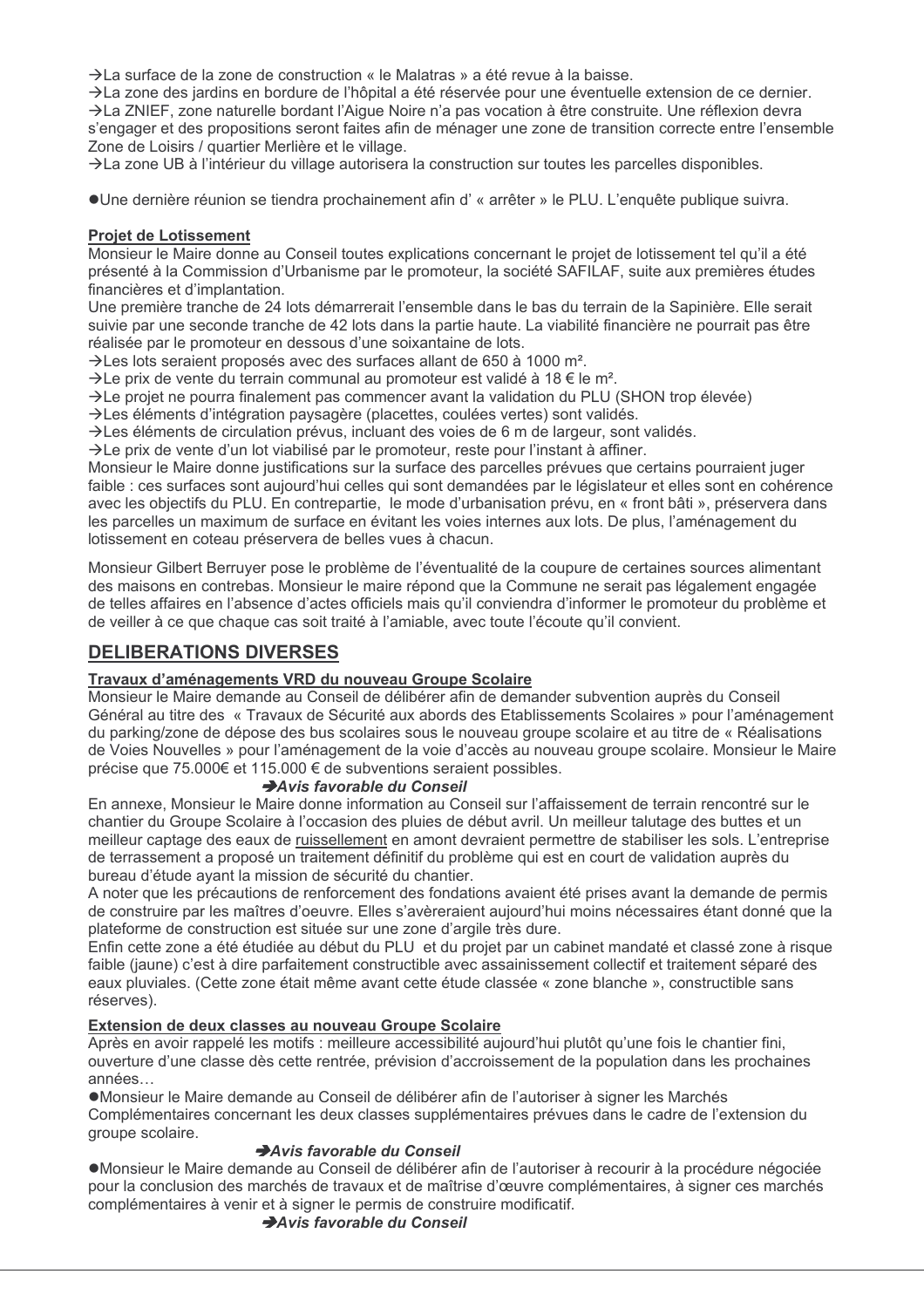$\rightarrow$  La surface de la zone de construction « le Malatras » a été revue à la baisse.

→ La zone des jardins en bordure de l'hôpital a été réservée pour une éventuelle extension de ce dernier. >La ZNIEF, zone naturelle bordant l'Aigue Noire n'a pas vocation à être construite. Une réflexion devra s'engager et des propositions seront faites afin de ménager une zone de transition correcte entre l'ensemble Zone de Loisirs / quartier Merlière et le village.

>La zone UB à l'intérieur du village autorisera la construction sur toutes les parcelles disponibles.

• Une dernière réunion se tiendra prochainement afin d' « arrêter » le PLU. L'enguête publique suivra.

#### **Proiet de Lotissement**

Monsieur le Maire donne au Conseil toutes explications concernant le proiet de lotissement tel qu'il a été présenté à la Commission d'Urbanisme par le promoteur, la société SAFILAF, suite aux premières études financières et d'implantation.

Une première tranche de 24 lots démarrerait l'ensemble dans le bas du terrain de la Sapinière. Elle serait suivie par une seconde tranche de 42 lots dans la partie haute. La viabilité financière ne pourrait pas être réalisée par le promoteur en dessous d'une soixantaine de lots.

 $\rightarrow$  Les lots seraient proposés avec des surfaces allant de 650 à 1000 m<sup>2</sup>.

 $\rightarrow$ Le prix de vente du terrain communal au promoteur est validé à 18 € le m<sup>2</sup>.

 $\rightarrow$  Le projet ne pourra finalement pas commencer avant la validation du PLU (SHON trop élevée)

 $\rightarrow$  Les éléments d'intégration paysagère (placettes, coulées vertes) sont validés.

 $\rightarrow$  Les éléments de circulation prévus, incluant des voies de 6 m de largeur, sont validés.

→ Le prix de vente d'un lot viabilisé par le promoteur, reste pour l'instant à affiner.

Monsieur le Maire donne justifications sur la surface des parcelles prévues que certains pourraient juger faible : ces surfaces sont aujourd'hui celles qui sont demandées par le législateur et elles sont en cohérence avec les objectifs du PLU. En contrepartie, le mode d'urbanisation prévu, en « front bâti », préservera dans les parcelles un maximum de surface en évitant les voies internes aux lots. De plus, l'aménagement du lotissement en coteau préservera de belles vues à chacun.

Monsieur Gilbert Berruver pose le problème de l'éventualité de la coupure de certaines sources alimentant des maisons en contrebas. Monsieur le maire répond que la Commune ne serait pas légalement engagée de telles affaires en l'absence d'actes officiels mais qu'il conviendra d'informer le promoteur du problème et de veiller à ce que chaque cas soit traité à l'amiable, avec toute l'écoute qu'il convient.

# **DELIBERATIONS DIVERSES**

#### Travaux d'aménagements VRD du nouveau Groupe Scolaire

Monsieur le Maire demande au Conseil de délibérer afin de demander subvention auprès du Conseil Général au titre des « Travaux de Sécurité aux abords des Etablissements Scolaires » pour l'aménagement du parking/zone de dépose des bus scolaires sous le nouveau groupe scolaire et au titre de « Réalisations de Voies Nouvelles » pour l'aménagement de la voie d'accès au nouveau groupe scolaire. Monsieur le Maire précise que 75.000€ et 115.000 € de subventions seraient possibles.

#### Avis favorable du Conseil

En annexe, Monsieur le Maire donne information au Conseil sur l'affaissement de terrain rencontré sur le chantier du Groupe Scolaire à l'occasion des pluies de début avril. Un meilleur talutage des buttes et un meilleur captage des eaux de ruissellement en amont devraient permettre de stabiliser les sols. L'entreprise de terrassement a proposé un traitement définitif du problème qui est en court de validation auprès du bureau d'étude ayant la mission de sécurité du chantier.

A noter que les précautions de renforcement des fondations avaient été prises avant la demande de permis de construire par les maîtres d'oeuvre. Elles s'avèreraient aujourd'hui moins nécessaires étant donné que la plateforme de construction est située sur une zone d'argile très dure.

Enfin cette zone a été étudiée au début du PLU et du projet par un cabinet mandaté et classé zone à risque faible (jaune) c'est à dire parfaitement constructible avec assainissement collectif et traitement séparé des eaux pluviales. (Cette zone était même avant cette étude classée « zone blanche », constructible sans réserves).

#### Extension de deux classes au nouveau Groupe Scolaire

Après en avoir rappelé les motifs : meilleure accessibilité aujourd'hui plutôt qu'une fois le chantier fini, ouverture d'une classe dès cette rentrée, prévision d'accroissement de la population dans les prochaines années

•Monsieur le Maire demande au Conseil de délibérer afin de l'autoriser à signer les Marchés Complémentaires concernant les deux classes supplémentaires prévues dans le cadre de l'extension du groupe scolaire.

#### Avis favorable du Conseil

●Monsieur le Maire demande au Conseil de délibérer afin de l'autoriser à recourir à la procédure négociée pour la conclusion des marchés de travaux et de maîtrise d'œuvre complémentaires, à signer ces marchés complémentaires à venir et à signer le permis de construire modificatif.

Avis favorable du Conseil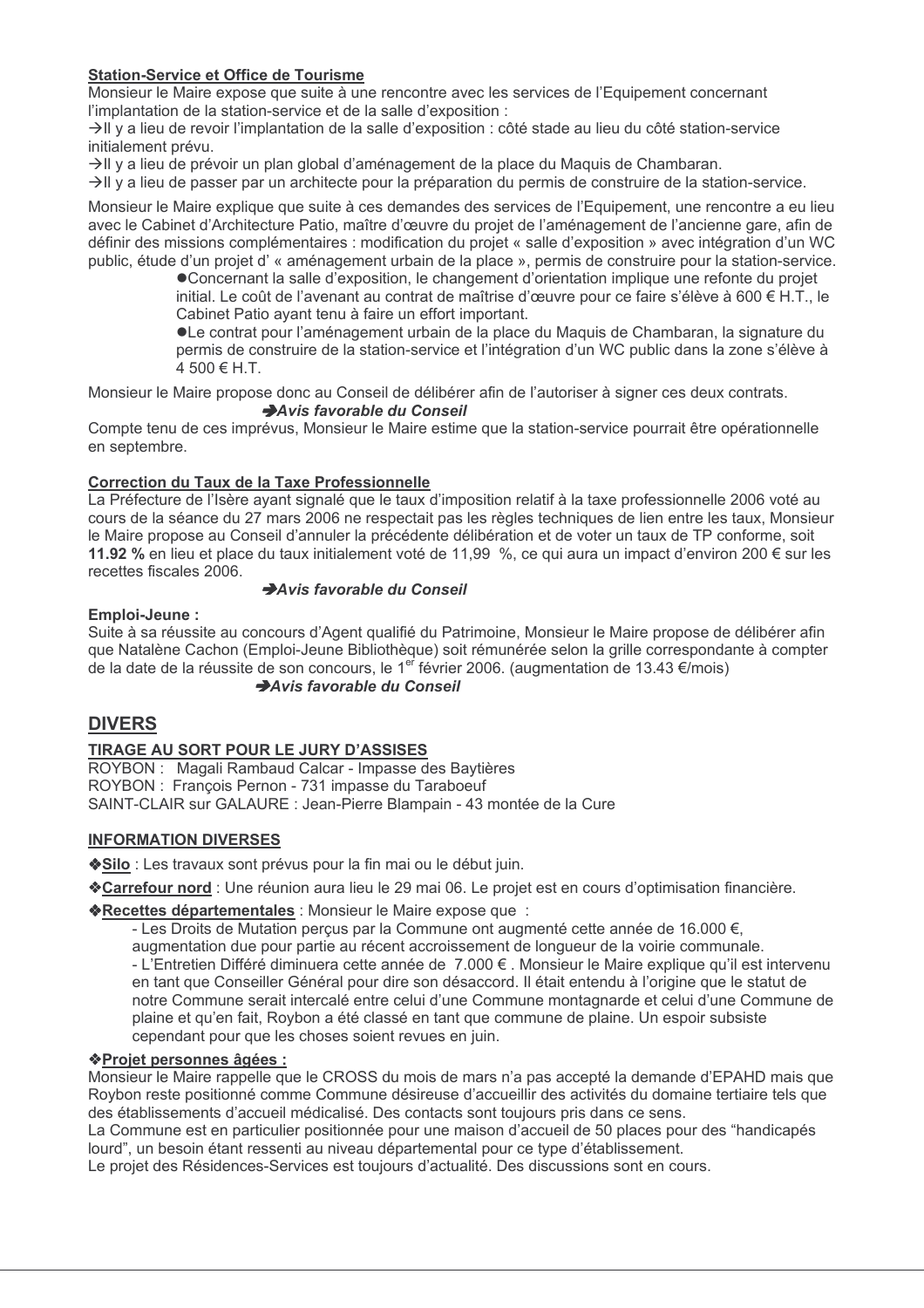## **Station-Service et Office de Tourisme**

Monsieur le Maire expose que suite à une rencontre avec les services de l'Equipement concernant l'implantation de la station-service et de la salle d'exposition :

→Il y a lieu de revoir l'implantation de la salle d'exposition : côté stade au lieu du côté station-service initialement prévu.

→Il y a lieu de prévoir un plan global d'aménagement de la place du Maguis de Chambaran.

→Il y a lieu de passer par un architecte pour la préparation du permis de construire de la station-service.

Monsieur le Maire explique que suite à ces demandes des services de l'Equipement, une rencontre a eu lieu avec le Cabinet d'Architecture Patio, maître d'œuvre du projet de l'aménagement de l'ancienne gare, afin de définir des missions complémentaires : modification du projet « salle d'exposition » avec intégration d'un WC public, étude d'un projet d'« aménagement urbain de la place », permis de construire pour la station-service.

•Concernant la salle d'exposition, le changement d'orientation implique une refonte du projet initial. Le coût de l'avenant au contrat de maîtrise d'œuvre pour ce faire s'élève à 600 € H.T., le Cabinet Patio avant tenu à faire un effort important.

OLe contrat pour l'aménagement urbain de la place du Maguis de Chambaran, la signature du permis de construire de la station-service et l'intégration d'un WC public dans la zone s'élève à  $4,500$  € H.T.

Monsieur le Maire propose donc au Conseil de délibérer afin de l'autoriser à signer ces deux contrats. Avis favorable du Conseil

Compte tenu de ces imprévus, Monsieur le Maire estime que la station-service pourrait être opérationnelle en septembre.

#### **Correction du Taux de la Taxe Professionnelle**

La Préfecture de l'Isère ayant signalé que le taux d'imposition relatif à la taxe professionnelle 2006 voté au cours de la séance du 27 mars 2006 ne respectait pas les règles techniques de lien entre les taux, Monsieur le Maire propose au Conseil d'annuler la précédente délibération et de voter un taux de TP conforme, soit 11.92 % en lieu et place du taux initialement voté de 11.99 %, ce qui aura un impact d'environ 200 € sur les recettes fiscales 2006.

#### Avis favorable du Conseil

#### Emploi-Jeune:

Suite à sa réussite au concours d'Agent qualifié du Patrimoine, Monsieur le Maire propose de délibérer afin que Natalène Cachon (Emploi-Jeune Bibliothèque) soit rémunérée selon la grille correspondante à compter de la date de la réussite de son concours, le 1<sup>er</sup> février 2006. (augmentation de 13.43 €/mois)

## Avis favorable du Conseil

# **DIVERS**

#### TIRAGE AU SORT POUR LE JURY D'ASSISES

ROYBON : Magali Rambaud Calcar - Impasse des Baytières ROYBON : François Pernon - 731 impasse du Taraboeuf SAINT-CLAIR sur GALAURE : Jean-Pierre Blampain - 43 montée de la Cure

#### **INFORMATION DIVERSES**

◆Silo : Les travaux sont prévus pour la fin mai ou le début juin.

\*Carrefour nord : Une réunion aura lieu le 29 mai 06. Le projet est en cours d'optimisation financière.

#### \*Recettes départementales : Monsieur le Maire expose que :

- Les Droits de Mutation percus par la Commune ont augmenté cette année de 16.000 €.

augmentation due pour partie au récent accroissement de longueur de la voirie communale.

- L'Entretien Différé diminuera cette année de 7.000 €. Monsieur le Maire explique qu'il est intervenu en tant que Conseiller Général pour dire son désaccord. Il était entendu à l'origine que le statut de notre Commune serait intercalé entre celui d'une Commune montagnarde et celui d'une Commune de plaine et qu'en fait, Roybon a été classé en tant que commune de plaine. Un espoir subsiste cependant pour que les choses soient revues en juin.

#### ◆Projet personnes âgées :

Monsieur le Maire rappelle que le CROSS du mois de mars n'a pas accepté la demande d'EPAHD mais que Roybon reste positionné comme Commune désireuse d'accueillir des activités du domaine tertiaire tels que des établissements d'accueil médicalisé. Des contacts sont toujours pris dans ce sens.

La Commune est en particulier positionnée pour une maison d'accueil de 50 places pour des "handicapés" lourd", un besoin étant ressenti au niveau départemental pour ce type d'établissement.

Le projet des Résidences-Services est toujours d'actualité. Des discussions sont en cours.